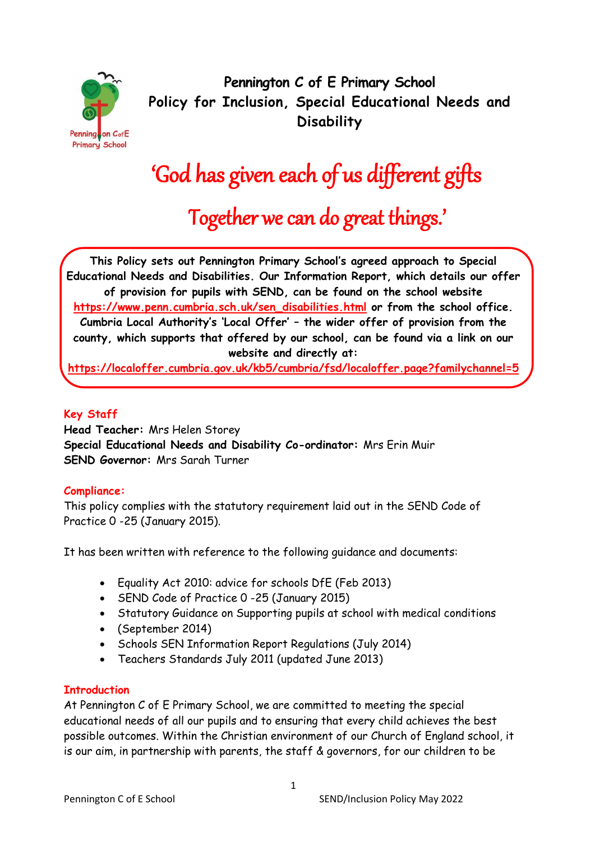

**Pennington C of E Primary School Policy for Inclusion, Special Educational Needs and Disability**

# 'God has given each of us different gifts

Together we can do great things.'

**This Policy sets out Pennington Primary School's agreed approach to Special Educational Needs and Disabilities. Our Information Report, which details our offer of provision for pupils with SEND, can be found on the school website [https://www.penn.cumbria.sch.uk/sen\\_disabilities.html](https://www.penn.cumbria.sch.uk/sen_disabilities.html) or from the school office. Cumbria Local Authority's 'Local Offer' – the wider offer of provision from the county, which supports that offered by our school, can be found via a link on our website and directly at:** 

**<https://localoffer.cumbria.gov.uk/kb5/cumbria/fsd/localoffer.page?familychannel=5>**

# **Key Staff**

**Head Teacher:** Mrs Helen Storey **Special Educational Needs and Disability Co-ordinator:** Mrs Erin Muir **SEND Governor:** Mrs Sarah Turner

# **Compliance:**

This policy complies with the statutory requirement laid out in the SEND Code of Practice 0 -25 (January 2015).

It has been written with reference to the following guidance and documents:

- Equality Act 2010: advice for schools DfE (Feb 2013)
- SEND Code of Practice 0 -25 (January 2015)
- Statutory Guidance on Supporting pupils at school with medical conditions
- (September 2014)
- Schools SEN Information Report Regulations (July 2014)
- Teachers Standards July 2011 (updated June 2013)

## **Introduction**

At Pennington C of E Primary School, we are committed to meeting the special educational needs of all our pupils and to ensuring that every child achieves the best possible outcomes. Within the Christian environment of our Church of England school, it is our aim, in partnership with parents, the staff & governors, for our children to be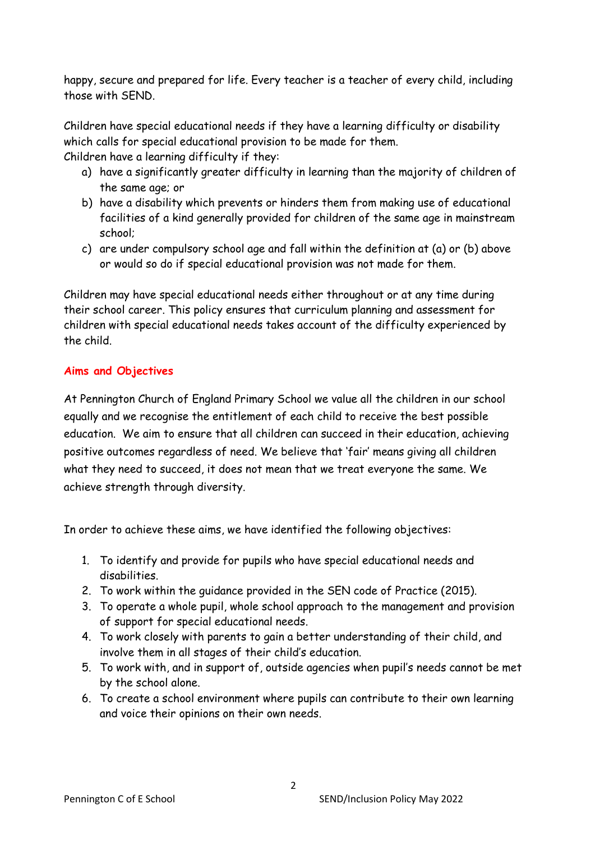happy, secure and prepared for life. Every teacher is a teacher of every child, including those with SEND.

Children have special educational needs if they have a learning difficulty or disability which calls for special educational provision to be made for them. Children have a learning difficulty if they:

- a) have a significantly greater difficulty in learning than the majority of children of the same age; or
- b) have a disability which prevents or hinders them from making use of educational facilities of a kind generally provided for children of the same age in mainstream school;
- c) are under compulsory school age and fall within the definition at (a) or (b) above or would so do if special educational provision was not made for them.

Children may have special educational needs either throughout or at any time during their school career. This policy ensures that curriculum planning and assessment for children with special educational needs takes account of the difficulty experienced by the child.

# **Aims and Objectives**

At Pennington Church of England Primary School we value all the children in our school equally and we recognise the entitlement of each child to receive the best possible education. We aim to ensure that all children can succeed in their education, achieving positive outcomes regardless of need. We believe that 'fair' means giving all children what they need to succeed, it does not mean that we treat everyone the same. We achieve strength through diversity.

In order to achieve these aims, we have identified the following objectives:

- 1. To identify and provide for pupils who have special educational needs and disabilities.
- 2. To work within the guidance provided in the SEN code of Practice (2015).
- 3. To operate a whole pupil, whole school approach to the management and provision of support for special educational needs.
- 4. To work closely with parents to gain a better understanding of their child, and involve them in all stages of their child's education.
- 5. To work with, and in support of, outside agencies when pupil's needs cannot be met by the school alone.
- 6. To create a school environment where pupils can contribute to their own learning and voice their opinions on their own needs.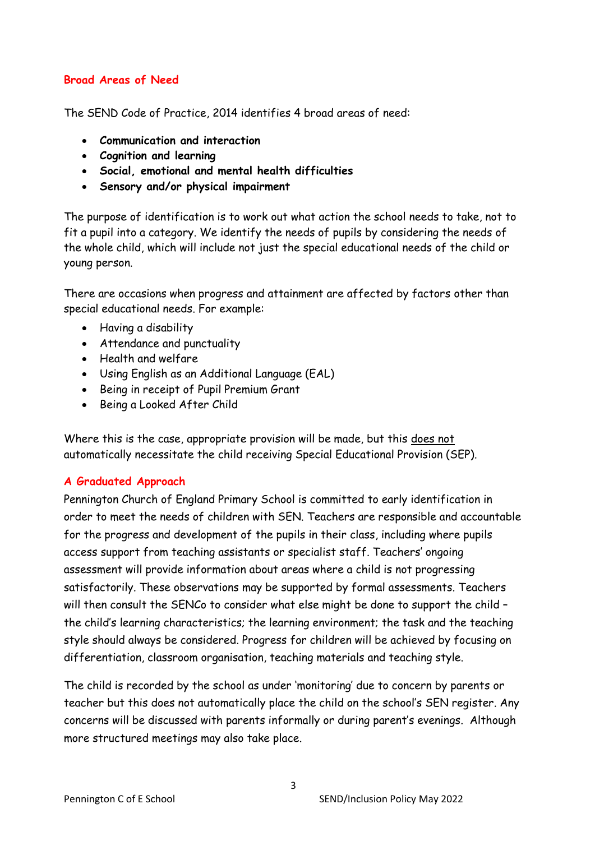## **Broad Areas of Need**

The SEND Code of Practice, 2014 identifies 4 broad areas of need:

- **Communication and interaction**
- **Cognition and learning**
- **Social, emotional and mental health difficulties**
- **Sensory and/or physical impairment**

The purpose of identification is to work out what action the school needs to take, not to fit a pupil into a category. We identify the needs of pupils by considering the needs of the whole child, which will include not just the special educational needs of the child or young person.

There are occasions when progress and attainment are affected by factors other than special educational needs. For example:

- Having a disability
- Attendance and punctuality
- Health and welfare
- Using English as an Additional Language (EAL)
- Being in receipt of Pupil Premium Grant
- Being a Looked After Child

Where this is the case, appropriate provision will be made, but this does not automatically necessitate the child receiving Special Educational Provision (SEP).

# **A Graduated Approach**

Pennington Church of England Primary School is committed to early identification in order to meet the needs of children with SEN. Teachers are responsible and accountable for the progress and development of the pupils in their class, including where pupils access support from teaching assistants or specialist staff. Teachers' ongoing assessment will provide information about areas where a child is not progressing satisfactorily. These observations may be supported by formal assessments. Teachers will then consult the SENCo to consider what else might be done to support the child – the child's learning characteristics; the learning environment; the task and the teaching style should always be considered. Progress for children will be achieved by focusing on differentiation, classroom organisation, teaching materials and teaching style.

The child is recorded by the school as under 'monitoring' due to concern by parents or teacher but this does not automatically place the child on the school's SEN register. Any concerns will be discussed with parents informally or during parent's evenings. Although more structured meetings may also take place.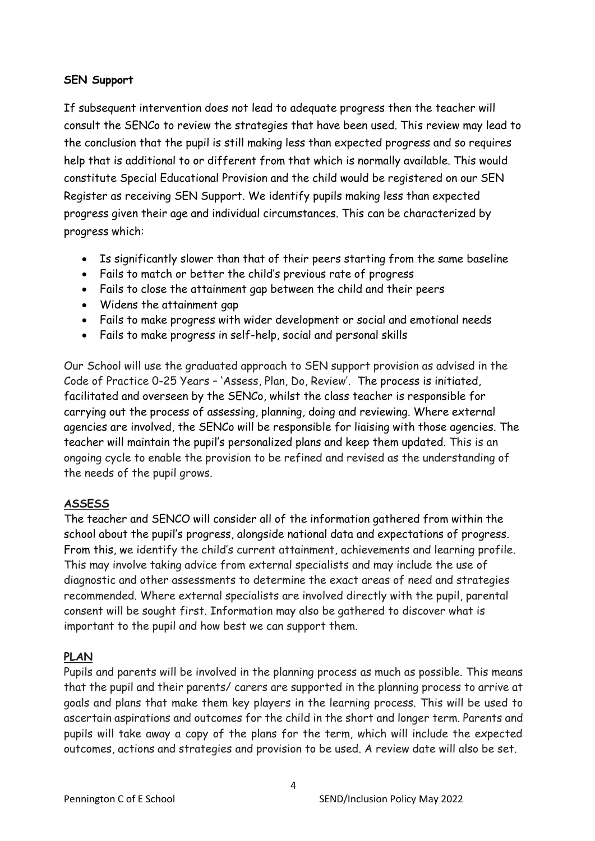## **SEN Support**

If subsequent intervention does not lead to adequate progress then the teacher will consult the SENCo to review the strategies that have been used. This review may lead to the conclusion that the pupil is still making less than expected progress and so requires help that is additional to or different from that which is normally available. This would constitute Special Educational Provision and the child would be registered on our SEN Register as receiving SEN Support. We identify pupils making less than expected progress given their age and individual circumstances. This can be characterized by progress which:

- Is significantly slower than that of their peers starting from the same baseline
- Fails to match or better the child's previous rate of progress
- Fails to close the attainment gap between the child and their peers
- Widens the attainment gap
- Fails to make progress with wider development or social and emotional needs
- Fails to make progress in self-help, social and personal skills

Our School will use the graduated approach to SEN support provision as advised in the Code of Practice 0-25 Years – 'Assess, Plan, Do, Review'. The process is initiated, facilitated and overseen by the SENCo, whilst the class teacher is responsible for carrying out the process of assessing, planning, doing and reviewing. Where external agencies are involved, the SENCo will be responsible for liaising with those agencies. The teacher will maintain the pupil's personalized plans and keep them updated. This is an ongoing cycle to enable the provision to be refined and revised as the understanding of the needs of the pupil grows.

# **ASSESS**

The teacher and SENCO will consider all of the information gathered from within the school about the pupil's progress, alongside national data and expectations of progress. From this, we identify the child's current attainment, achievements and learning profile. This may involve taking advice from external specialists and may include the use of diagnostic and other assessments to determine the exact areas of need and strategies recommended. Where external specialists are involved directly with the pupil, parental consent will be sought first. Information may also be gathered to discover what is important to the pupil and how best we can support them.

# **PLAN**

Pupils and parents will be involved in the planning process as much as possible. This means that the pupil and their parents/ carers are supported in the planning process to arrive at goals and plans that make them key players in the learning process. This will be used to ascertain aspirations and outcomes for the child in the short and longer term. Parents and pupils will take away a copy of the plans for the term, which will include the expected outcomes, actions and strategies and provision to be used. A review date will also be set.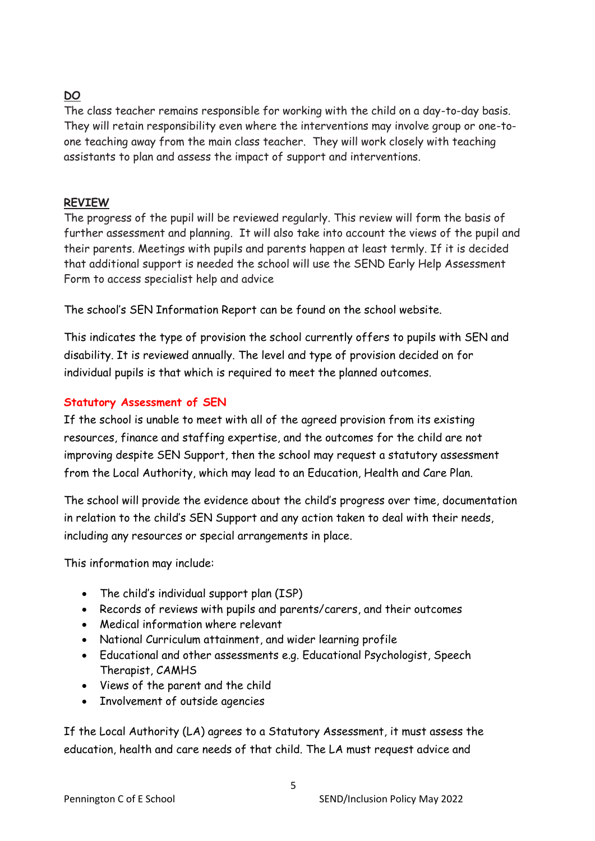# **DO**

The class teacher remains responsible for working with the child on a day-to-day basis. They will retain responsibility even where the interventions may involve group or one-toone teaching away from the main class teacher. They will work closely with teaching assistants to plan and assess the impact of support and interventions.

# **REVIEW**

The progress of the pupil will be reviewed regularly. This review will form the basis of further assessment and planning. It will also take into account the views of the pupil and their parents. Meetings with pupils and parents happen at least termly. If it is decided that additional support is needed the school will use the SEND Early Help Assessment Form to access specialist help and advice

The school's SEN Information Report can be found on the school website.

This indicates the type of provision the school currently offers to pupils with SEN and disability. It is reviewed annually. The level and type of provision decided on for individual pupils is that which is required to meet the planned outcomes.

# **Statutory Assessment of SEN**

If the school is unable to meet with all of the agreed provision from its existing resources, finance and staffing expertise, and the outcomes for the child are not improving despite SEN Support, then the school may request a statutory assessment from the Local Authority, which may lead to an Education, Health and Care Plan.

The school will provide the evidence about the child's progress over time, documentation in relation to the child's SEN Support and any action taken to deal with their needs, including any resources or special arrangements in place.

This information may include:

- The child's individual support plan (ISP)
- Records of reviews with pupils and parents/carers, and their outcomes
- Medical information where relevant
- National Curriculum attainment, and wider learning profile
- Educational and other assessments e.g. Educational Psychologist, Speech Therapist, CAMHS
- Views of the parent and the child
- Involvement of outside agencies

If the Local Authority (LA) agrees to a Statutory Assessment, it must assess the education, health and care needs of that child. The LA must request advice and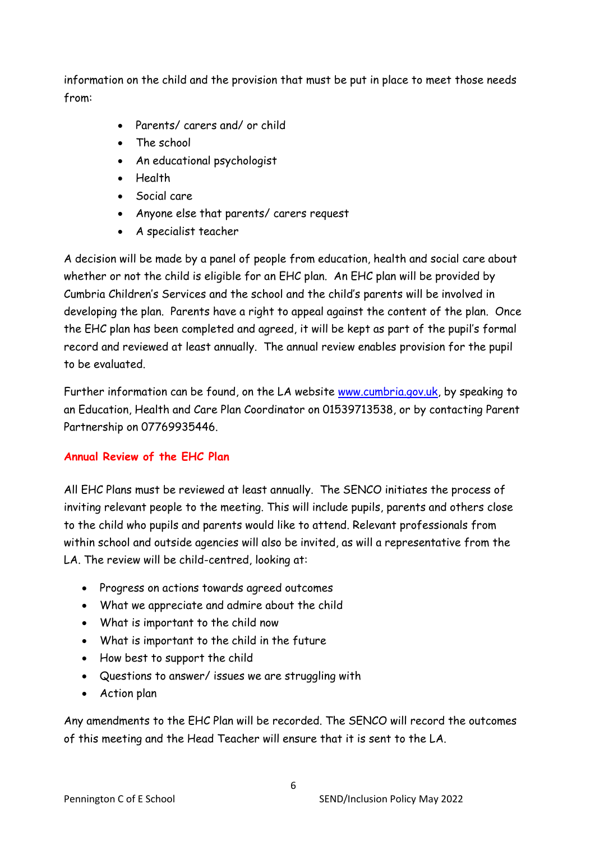information on the child and the provision that must be put in place to meet those needs from:

- Parents/ carers and/ or child
- The school
- An educational psychologist
- Health
- Social care
- Anyone else that parents/ carers request
- A specialist teacher

A decision will be made by a panel of people from education, health and social care about whether or not the child is eligible for an EHC plan. An EHC plan will be provided by Cumbria Children's Services and the school and the child's parents will be involved in developing the plan. Parents have a right to appeal against the content of the plan. Once the EHC plan has been completed and agreed, it will be kept as part of the pupil's formal record and reviewed at least annually. The annual review enables provision for the pupil to be evaluated.

Further information can be found, on the LA website [www.cumbria.gov.uk,](http://www.cumbria.gov.uk/) by speaking to an Education, Health and Care Plan Coordinator on 01539713538, or by contacting Parent Partnership on 07769935446.

# **Annual Review of the EHC Plan**

All EHC Plans must be reviewed at least annually. The SENCO initiates the process of inviting relevant people to the meeting. This will include pupils, parents and others close to the child who pupils and parents would like to attend. Relevant professionals from within school and outside agencies will also be invited, as will a representative from the LA. The review will be child-centred, looking at:

- Progress on actions towards agreed outcomes
- What we appreciate and admire about the child
- What is important to the child now
- What is important to the child in the future
- How best to support the child
- Questions to answer/ issues we are struggling with
- Action plan

Any amendments to the EHC Plan will be recorded. The SENCO will record the outcomes of this meeting and the Head Teacher will ensure that it is sent to the LA.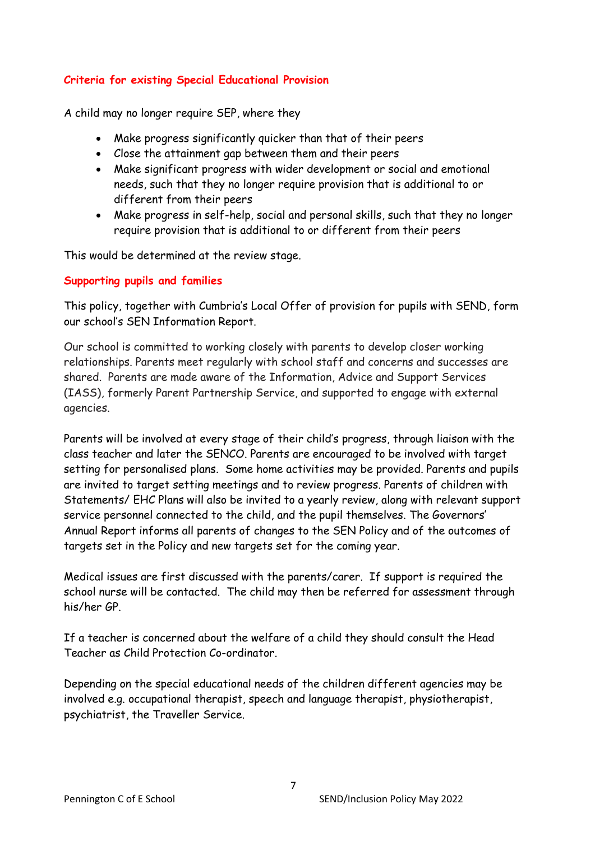## **Criteria for existing Special Educational Provision**

A child may no longer require SEP, where they

- Make progress significantly quicker than that of their peers
- Close the attainment gap between them and their peers
- Make significant progress with wider development or social and emotional needs, such that they no longer require provision that is additional to or different from their peers
- Make progress in self-help, social and personal skills, such that they no longer require provision that is additional to or different from their peers

This would be determined at the review stage.

## **Supporting pupils and families**

This policy, together with Cumbria's Local Offer of provision for pupils with SEND, form our school's SEN Information Report.

Our school is committed to working closely with parents to develop closer working relationships. Parents meet regularly with school staff and concerns and successes are shared. Parents are made aware of the Information, Advice and Support Services (IASS), formerly Parent Partnership Service, and supported to engage with external agencies.

Parents will be involved at every stage of their child's progress, through liaison with the class teacher and later the SENCO. Parents are encouraged to be involved with target setting for personalised plans. Some home activities may be provided. Parents and pupils are invited to target setting meetings and to review progress. Parents of children with Statements/ EHC Plans will also be invited to a yearly review, along with relevant support service personnel connected to the child, and the pupil themselves. The Governors' Annual Report informs all parents of changes to the SEN Policy and of the outcomes of targets set in the Policy and new targets set for the coming year.

Medical issues are first discussed with the parents/carer. If support is required the school nurse will be contacted. The child may then be referred for assessment through his/her GP.

If a teacher is concerned about the welfare of a child they should consult the Head Teacher as Child Protection Co-ordinator.

Depending on the special educational needs of the children different agencies may be involved e.g. occupational therapist, speech and language therapist, physiotherapist, psychiatrist, the Traveller Service.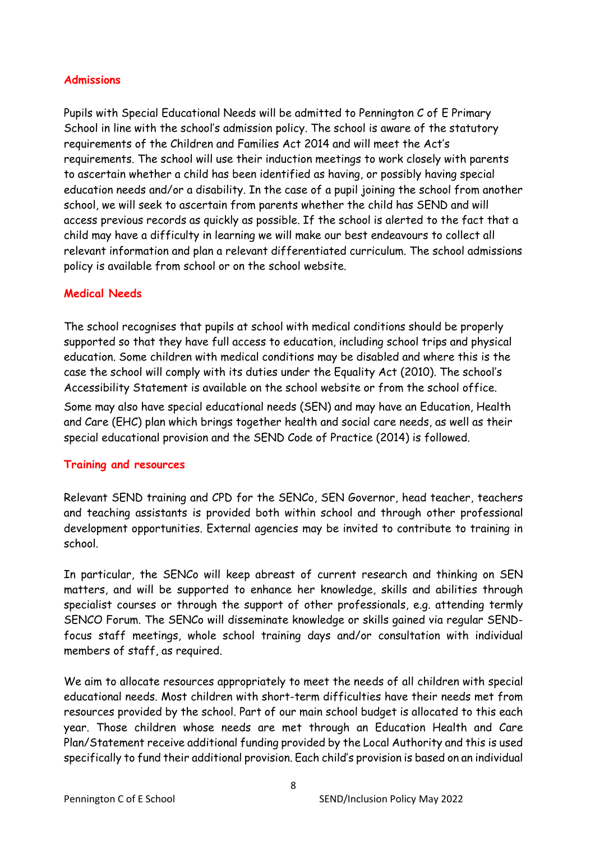## **Admissions**

Pupils with Special Educational Needs will be admitted to Pennington C of E Primary School in line with the school's admission policy. The school is aware of the statutory requirements of the Children and Families Act 2014 and will meet the Act's requirements. The school will use their induction meetings to work closely with parents to ascertain whether a child has been identified as having, or possibly having special education needs and/or a disability. In the case of a pupil joining the school from another school, we will seek to ascertain from parents whether the child has SEND and will access previous records as quickly as possible. If the school is alerted to the fact that a child may have a difficulty in learning we will make our best endeavours to collect all relevant information and plan a relevant differentiated curriculum. The school admissions policy is available from school or on the school website.

## **Medical Needs**

The school recognises that pupils at school with medical conditions should be properly supported so that they have full access to education, including school trips and physical education. Some children with medical conditions may be disabled and where this is the case the school will comply with its duties under the Equality Act (2010). The school's Accessibility Statement is available on the school website or from the school office. Some may also have special educational needs (SEN) and may have an Education, Health

and Care (EHC) plan which brings together health and social care needs, as well as their special educational provision and the SEND Code of Practice (2014) is followed.

## **Training and resources**

Relevant SEND training and CPD for the SENCo, SEN Governor, head teacher, teachers and teaching assistants is provided both within school and through other professional development opportunities. External agencies may be invited to contribute to training in school.

In particular, the SENCo will keep abreast of current research and thinking on SEN matters, and will be supported to enhance her knowledge, skills and abilities through specialist courses or through the support of other professionals, e.g. attending termly SENCO Forum. The SENCo will disseminate knowledge or skills gained via regular SENDfocus staff meetings, whole school training days and/or consultation with individual members of staff, as required.

We aim to allocate resources appropriately to meet the needs of all children with special educational needs. Most children with short-term difficulties have their needs met from resources provided by the school. Part of our main school budget is allocated to this each year. Those children whose needs are met through an Education Health and Care Plan/Statement receive additional funding provided by the Local Authority and this is used specifically to fund their additional provision. Each child's provision is based on an individual

8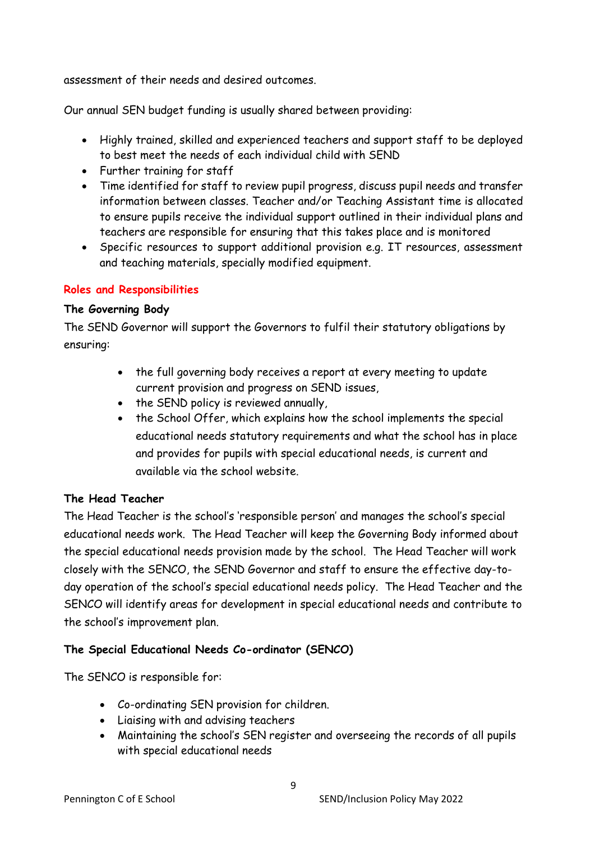assessment of their needs and desired outcomes.

Our annual SEN budget funding is usually shared between providing:

- Highly trained, skilled and experienced teachers and support staff to be deployed to best meet the needs of each individual child with SEND
- Further training for staff
- Time identified for staff to review pupil progress, discuss pupil needs and transfer information between classes. Teacher and/or Teaching Assistant time is allocated to ensure pupils receive the individual support outlined in their individual plans and teachers are responsible for ensuring that this takes place and is monitored
- Specific resources to support additional provision e.g. IT resources, assessment and teaching materials, specially modified equipment.

## **Roles and Responsibilities**

## **The Governing Body**

The SEND Governor will support the Governors to fulfil their statutory obligations by ensuring:

- the full governing body receives a report at every meeting to update current provision and progress on SEND issues,
- the SEND policy is reviewed annually,
- the School Offer, which explains how the school implements the special educational needs statutory requirements and what the school has in place and provides for pupils with special educational needs, is current and available via the school website.

# **The Head Teacher**

The Head Teacher is the school's 'responsible person' and manages the school's special educational needs work. The Head Teacher will keep the Governing Body informed about the special educational needs provision made by the school. The Head Teacher will work closely with the SENCO, the SEND Governor and staff to ensure the effective day-today operation of the school's special educational needs policy. The Head Teacher and the SENCO will identify areas for development in special educational needs and contribute to the school's improvement plan.

# **The Special Educational Needs Co-ordinator (SENCO)**

The SENCO is responsible for:

- Co-ordinating SEN provision for children.
- Liaising with and advising teachers
- Maintaining the school's SEN register and overseeing the records of all pupils with special educational needs